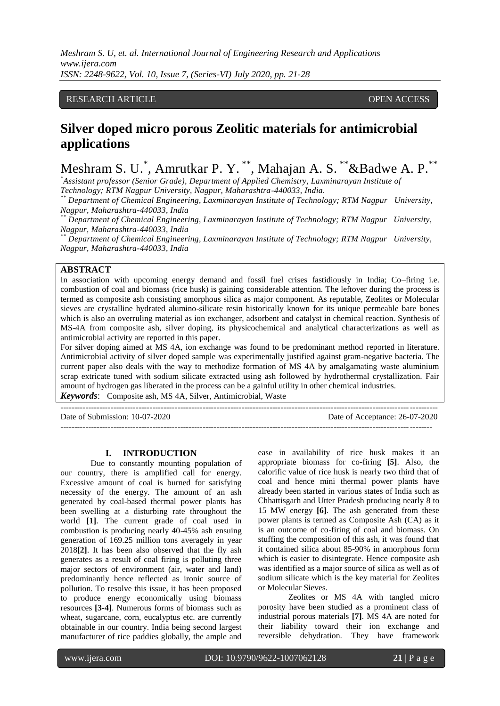*Meshram S. U, et. al. International Journal of Engineering Research and Applications www.ijera.com ISSN: 2248-9622, Vol. 10, Issue 7, (Series-VI) July 2020, pp. 21-28*

# RESEARCH ARTICLE **OPEN ACCESS**

# **Silver doped micro porous Zeolitic materials for antimicrobial applications**

Meshram S. U. \*, Amrutkar P. Y. \*\*, Mahajan A. S. \*\*&Badwe A. P.\*\*

*\*Assistant professor (Senior Grade), Department of Applied Chemistry, Laxminarayan Institute of Technology; RTM Nagpur University, Nagpur, Maharashtra-440033, India.*

*\*\* Department of Chemical Engineering, Laxminarayan Institute of Technology; RTM Nagpur University, Nagpur, Maharashtra-440033, India*

*\*\* Department of Chemical Engineering, Laxminarayan Institute of Technology; RTM Nagpur University, Nagpur, Maharashtra-440033, India*

*\*\* Department of Chemical Engineering, Laxminarayan Institute of Technology; RTM Nagpur University, Nagpur, Maharashtra-440033, India*

# **ABSTRACT**

In association with upcoming energy demand and fossil fuel crises fastidiously in India; Co–firing i.e. combustion of coal and biomass (rice husk) is gaining considerable attention. The leftover during the process is termed as composite ash consisting amorphous silica as major component. As reputable, Zeolites or Molecular sieves are crystalline hydrated alumino-silicate resin historically known for its unique permeable bare bones which is also an overruling material as ion exchanger, adsorbent and catalyst in chemical reaction. Synthesis of MS-4A from composite ash, silver doping, its physicochemical and analytical characterizations as well as antimicrobial activity are reported in this paper.

For silver doping aimed at MS 4A, ion exchange was found to be predominant method reported in literature. Antimicrobial activity of silver doped sample was experimentally justified against gram-negative bacteria. The current paper also deals with the way to methodize formation of MS 4A by amalgamating waste aluminium scrap extricate tuned with sodium silicate extracted using ash followed by hydrothermal crystallization. Fair amount of hydrogen gas liberated in the process can be a gainful utility in other chemical industries.

---------------------------------------------------------------------------------------------------------------------------------------

*Keywords*: Composite ash, MS 4A, Silver, Antimicrobial, Waste

Date of Submission: 10-07-2020 Date of Acceptance: 26-07-2020 -------------------------------------------------------------------------------------------------------------------------------------

#### **I. INTRODUCTION**

Due to constantly mounting population of our country, there is amplified call for energy. Excessive amount of coal is burned for satisfying necessity of the energy. The amount of an ash generated by coal-based thermal power plants has been swelling at a disturbing rate throughout the world **[1]**. The current grade of coal used in combustion is producing nearly 40-45% ash ensuing generation of 169.25 million tons averagely in year 2018**[2]**. It has been also observed that the fly ash generates as a result of coal firing is polluting three major sectors of environment (air, water and land) predominantly hence reflected as ironic source of pollution. To resolve this issue, it has been proposed to produce energy economically using biomass resources **[3-4]**. Numerous forms of biomass such as wheat, sugarcane, corn, eucalyptus etc. are currently obtainable in our country. India being second largest manufacturer of rice paddies globally, the ample and

ease in availability of rice husk makes it an appropriate biomass for co-firing **[5]**. Also, the calorific value of rice husk is nearly two third that of coal and hence mini thermal power plants have already been started in various states of India such as Chhattisgarh and Utter Pradesh producing nearly 8 to 15 MW energy **[6]**. The ash generated from these power plants is termed as Composite Ash (CA) as it is an outcome of co-firing of coal and biomass. On stuffing the composition of this ash, it was found that it contained silica about 85-90% in amorphous form which is easier to disintegrate. Hence composite ash was identified as a major source of silica as well as of sodium silicate which is the key material for Zeolites or Molecular Sieves.

Zeolites or MS 4A with tangled micro porosity have been studied as a prominent class of industrial porous materials **[7]**. MS 4A are noted for their liability toward their ion exchange and reversible dehydration. They have framework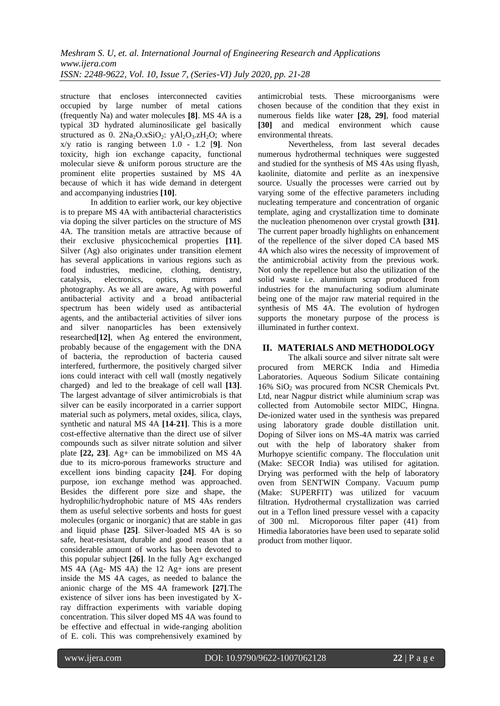structure that encloses interconnected cavities occupied by large number of metal cations (frequently Na) and water molecules **[8]**. MS 4A is a typical 3D hydrated aluminosilicate gel basically structured as 0.  $2Na<sub>2</sub>O.xSiO<sub>2</sub>$ :  $yAl<sub>2</sub>O<sub>3</sub>.zH<sub>2</sub>O$ ; where x/y ratio is ranging between 1.0 - 1.2 [**9]**. Non toxicity, high ion exchange capacity, functional molecular sieve & uniform porous structure are the prominent elite properties sustained by MS 4A because of which it has wide demand in detergent and accompanying industries **[10]**.

In addition to earlier work, our key objective is to prepare MS 4A with antibacterial characteristics via doping the silver particles on the structure of MS 4A. The transition metals are attractive because of their exclusive physicochemical properties **[11]**. Silver (Ag) also originates under transition element has several applications in various regions such as food industries, medicine, clothing, dentistry, catalysis, electronics, optics, mirrors and photography. As we all are aware, Ag with powerful antibacterial activity and a broad antibacterial spectrum has been widely used as antibacterial agents, and the antibacterial activities of silver ions and silver nanoparticles has been extensively researched**[12]**, when Ag entered the environment, probably because of the engagement with the DNA of bacteria, the reproduction of bacteria caused interfered, furthermore, the positively charged silver ions could interact with cell wall (mostly negatively charged) and led to the breakage of cell wall **[13]**. The largest advantage of silver antimicrobials is that silver can be easily incorporated in a carrier support material such as polymers, metal oxides, silica, clays, synthetic and natural MS 4A **[14-21]**. This is a more cost-effective alternative than the direct use of silver compounds such as silver nitrate solution and silver plate **[22, 23]**. Ag+ can be immobilized on MS 4A due to its micro-porous frameworks structure and excellent ions binding capacity **[24]**. For doping purpose, ion exchange method was approached. Besides the different pore size and shape, the hydrophilic/hydrophobic nature of MS 4As renders them as useful selective sorbents and hosts for guest molecules (organic or inorganic) that are stable in gas and liquid phase **[25]**. Silver-loaded MS 4A is so safe, heat-resistant, durable and good reason that a considerable amount of works has been devoted to this popular subject **[26]**. In the fully Ag+ exchanged MS 4A (Ag- MS 4A) the 12 Ag+ ions are present inside the MS 4A cages, as needed to balance the anionic charge of the MS 4A framework **[27]**.The existence of silver ions has been investigated by Xray diffraction experiments with variable doping concentration. This silver doped MS 4A was found to be effective and effectual in wide-ranging abolition of E. coli. This was comprehensively examined by

antimicrobial tests. These microorganisms were chosen because of the condition that they exist in numerous fields like water **[28, 29]**, food material **[30]** and medical environment which cause environmental threats.

Nevertheless, from last several decades numerous hydrothermal techniques were suggested and studied for the synthesis of MS 4As using flyash, kaolinite, diatomite and perlite as an inexpensive source. Usually the processes were carried out by varying some of the effective parameters including nucleating temperature and concentration of organic template, aging and crystallization time to dominate the nucleation phenomenon over crystal growth **[31]**. The current paper broadly highlights on enhancement of the repellence of the silver doped CA based MS 4A which also wires the necessity of improvement of the antimicrobial activity from the previous work. Not only the repellence but also the utilization of the solid waste i.e. aluminium scrap produced from industries for the manufacturing sodium aluminate being one of the major raw material required in the synthesis of MS 4A. The evolution of hydrogen supports the monetary purpose of the process is illuminated in further context.

## **II. MATERIALS AND METHODOLOGY**

The alkali source and silver nitrate salt were procured from MERCK India and Himedia Laboratories. Aqueous Sodium Silicate containing 16%  $SiO<sub>2</sub>$  was procured from NCSR Chemicals Pvt. Ltd, near Nagpur district while aluminium scrap was collected from Automobile sector MIDC, Hingna. De-ionized water used in the synthesis was prepared using laboratory grade double distillation unit. Doping of Silver ions on MS-4A matrix was carried out with the help of laboratory shaker from Murhopye scientific company. The flocculation unit (Make: SECOR India) was utilised for agitation. Drying was performed with the help of laboratory oven from SENTWIN Company. Vacuum pump (Make: SUPERFIT) was utilized for vacuum filtration. Hydrothermal crystallization was carried out in a Teflon lined pressure vessel with a capacity of 300 ml. Microporous filter paper (41) from Himedia laboratories have been used to separate solid product from mother liquor.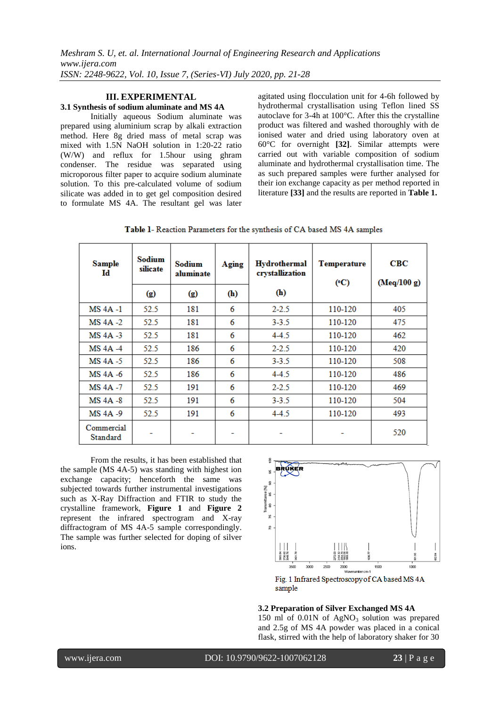# **III. EXPERIMENTAL**

#### **3.1 Synthesis of sodium aluminate and MS 4A**

Initially aqueous Sodium aluminate was prepared using aluminium scrap by alkali extraction method. Here 8g dried mass of metal scrap was mixed with 1.5N NaOH solution in 1:20-22 ratio (W/W) and reflux for 1.5hour using ghram condenser. The residue was separated using microporous filter paper to acquire sodium aluminate solution. To this pre-calculated volume of sodium silicate was added in to get gel composition desired to formulate MS 4A. The resultant gel was later agitated using flocculation unit for 4-6h followed by hydrothermal crystallisation using Teflon lined SS autoclave for 3-4h at 100°C. After this the crystalline product was filtered and washed thoroughly with de ionised water and dried using laboratory oven at 60°C for overnight **[32]**. Similar attempts were carried out with variable composition of sodium aluminate and hydrothermal crystallisation time. The as such prepared samples were further analysed for their ion exchange capacity as per method reported in literature **[33]** and the results are reported in **Table 1.**

| <b>Sample</b><br>Id    | Sodium<br>silicate | Sodium<br>aluminate | Aging | Hydrothermal<br>crystallization | <b>Temperature</b><br>(C) | CBC<br>(Meq/100 g) |
|------------------------|--------------------|---------------------|-------|---------------------------------|---------------------------|--------------------|
|                        | $\circ$            | $\circ$             | (h)   | (h)                             |                           |                    |
| <b>MS 4A -1</b>        | 52.5               | 181                 | 6     | $2 - 2.5$                       | 110-120                   | 405                |
| $MS 4A -2$             | 52.5               | 181                 | 6     | $3 - 3.5$                       | 110-120                   | 475                |
| $MS$ 4A $-3$           | 52.5               | 181                 | 6     | $4-4.5$                         | 110-120                   | 462                |
| $MS 4A -4$             | 52.5               | 186                 | 6     | $2 - 2.5$                       | 110-120                   | 420                |
| $MS 4A - 5$            | 52.5               | 186                 | 6     | $3 - 3.5$                       | 110-120                   | 508                |
| MS 4A -6               | 52.5               | 186                 | 6     | $4-4.5$                         | 110-120                   | 486                |
| MS 4A -7               | 52.5               | 191                 | 6     | $2 - 2.5$                       | 110-120                   | 469                |
| $MS 4A - 8$            | 52.5               | 191                 | 6     | $3 - 3.5$                       | 110-120                   | 504                |
| MS 4A -9               | 52.5               | 191                 | 6     | $4-4.5$                         | 110-120                   | 493                |
| Commercial<br>Standard |                    |                     | -     |                                 |                           | 520                |

From the results, it has been established that the sample (MS 4A-5) was standing with highest ion exchange capacity; henceforth the same was subjected towards further instrumental investigations such as X-Ray Diffraction and FTIR to study the crystalline framework, **Figure 1** and **Figure 2**  represent the infrared spectrogram and X-ray diffractogram of MS 4A-5 sample correspondingly. The sample was further selected for doping of silver ions.



**3.2 Preparation of Silver Exchanged MS 4A** 150 ml of  $0.01N$  of AgNO<sub>3</sub> solution was prepared and 2.5g of MS 4A powder was placed in a conical flask, stirred with the help of laboratory shaker for 30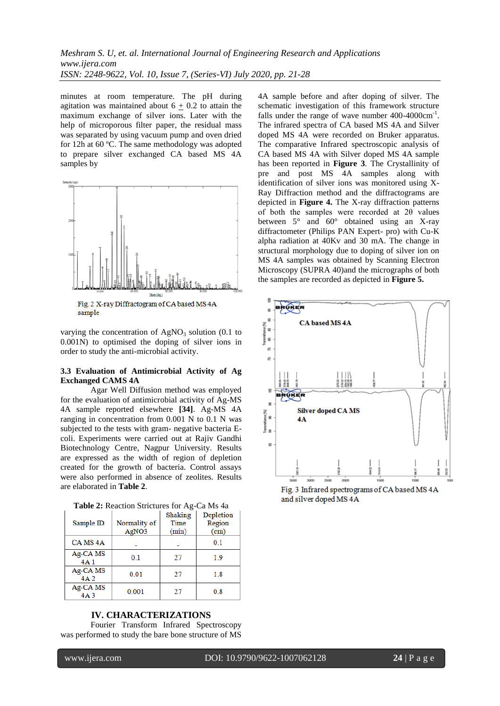minutes at room temperature. The pH during agitation was maintained about  $6 + 0.2$  to attain the maximum exchange of silver ions. Later with the help of microporous filter paper, the residual mass was separated by using vacuum pump and oven dried for 12h at 60 ºC. The same methodology was adopted to prepare silver exchanged CA based MS 4A samples by



Fig. 2 X-ray Diffractogram of CA based MS 4A sample

varying the concentration of  $AgNO<sub>3</sub>$  solution (0.1 to 0.001N) to optimised the doping of silver ions in order to study the anti-microbial activity.

#### **3.3 Evaluation of Antimicrobial Activity of Ag Exchanged CAMS 4A**

Agar Well Diffusion method was employed for the evaluation of antimicrobial activity of Ag-MS 4A sample reported elsewhere **[34]**. Ag-MS 4A ranging in concentration from 0.001 N to 0.1 N was subjected to the tests with gram- negative bacteria Ecoli. Experiments were carried out at Rajiv Gandhi Biotechnology Centre, Nagpur University. Results are expressed as the width of region of depletion created for the growth of bacteria. Control assays were also performed in absence of zeolites. Results are elaborated in **Table 2**.

|                      |              | Shaking | Depletion |  |
|----------------------|--------------|---------|-----------|--|
| Sample ID            | Normality of | Time    | Region    |  |
|                      | AgNO3        | (min)   | (cm)      |  |
| CA MS <sub>4</sub> A |              |         | 0.1       |  |
| Ag-CA MS             | 0.1          | 27      | 19        |  |
| 4A1                  |              |         |           |  |
| Ag-CA MS             | 0.01         | 27      | 1.8       |  |
| 4A2                  |              |         |           |  |
| Ag-CA MS             | 0.001        | 27      | 0.8       |  |
| 4A <sub>3</sub>      |              |         |           |  |

**Table 2:** Reaction Strictures for Ag-Ca Ms 4a

# **IV. CHARACTERIZATIONS**

Fourier Transform Infrared Spectroscopy was performed to study the bare bone structure of MS 4A sample before and after doping of silver. The schematic investigation of this framework structure falls under the range of wave number  $400-4000 \text{cm}^{-1}$ . The infrared spectra of CA based MS 4A and Silver doped MS 4A were recorded on Bruker apparatus. The comparative Infrared spectroscopic analysis of CA based MS 4A with Silver doped MS 4A sample has been reported in **Figure 3**. The Crystallinity of pre and post MS 4A samples along with identification of silver ions was monitored using X-Ray Diffraction method and the diffractograms are depicted in **Figure 4.** The X-ray diffraction patterns of both the samples were recorded at 2θ values between 5° and 60° obtained using an X-ray diffractometer (Philips PAN Expert- pro) with Cu-K alpha radiation at 40Kv and 30 mA. The change in structural morphology due to doping of silver ion on MS 4A samples was obtained by Scanning Electron Microscopy (SUPRA 40)and the micrographs of both the samples are recorded as depicted in **Figure 5.**



Fig. 3 Infrared spectrograms of CA based MS 4A and silver doped MS 4A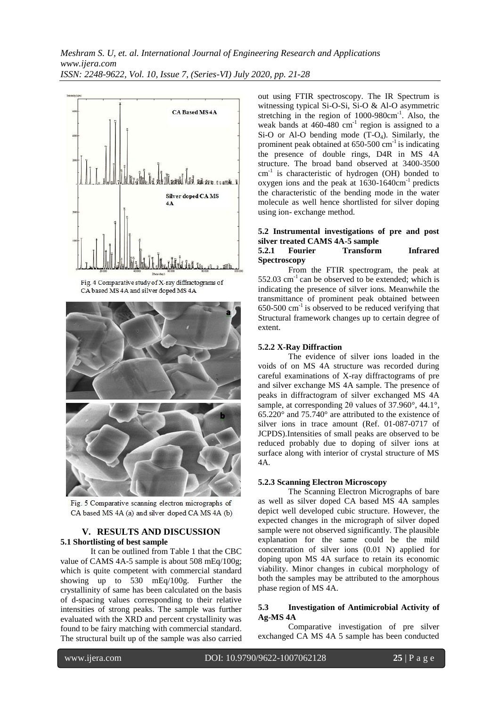

Fig. 4 Comparative study of X-ray diffractograms of CA based MS 4A and silver doped MS 4A



Fig. 5 Comparative scanning electron micrographs of CA based MS 4A (a) and silver doped CA MS 4A (b)

## **V. RESULTS AND DISCUSSION 5.1 Shortlisting of best sample**

It can be outlined from Table 1 that the CBC value of CAMS 4A-5 sample is about 508 mEq/100g; which is quite competent with commercial standard showing up to 530 mEq/100g. Further the crystallinity of same has been calculated on the basis of d-spacing values corresponding to their relative intensities of strong peaks. The sample was further evaluated with the XRD and percent crystallinity was found to be fairy matching with commercial standard. The structural built up of the sample was also carried out using FTIR spectroscopy. The IR Spectrum is witnessing typical Si-O-Si, Si-O & Al-O asymmetric stretching in the region of 1000-980cm<sup>-1</sup>. Also, the weak bands at  $460-480$  cm<sup>-1</sup> region is assigned to a Si-O or Al-O bending mode  $(T-O_4)$ . Similarly, the prominent peak obtained at  $650-500$  cm<sup>-1</sup> is indicating the presence of double rings, D4R in MS 4A structure. The broad band observed at 3400-3500 cm<sup>-1</sup> is characteristic of hydrogen (OH) bonded to oxygen ions and the peak at  $1630-1640 \text{cm}^{-1}$  predicts the characteristic of the bending mode in the water molecule as well hence shortlisted for silver doping using ion- exchange method.

# **5.2 Instrumental investigations of pre and post silver treated CAMS 4A-5 sample**

#### **5.2.1 Fourier Transform Infrared Spectroscopy**

From the FTIR spectrogram, the peak at 552.03  $\text{cm}^{-1}$  can be observed to be extended; which is indicating the presence of silver ions. Meanwhile the transmittance of prominent peak obtained between  $650-500$  cm<sup>-1</sup> is observed to be reduced verifying that Structural framework changes up to certain degree of extent.

## **5.2.2 X-Ray Diffraction**

The evidence of silver ions loaded in the voids of on MS 4A structure was recorded during careful examinations of X-ray diffractograms of pre and silver exchange MS 4A sample. The presence of peaks in diffractogram of silver exchanged MS 4A sample, at corresponding 2θ values of 37.960°, 44.1°, 65.220° and 75.740° are attributed to the existence of silver ions in trace amount (Ref. 01-087-0717 of JCPDS).Intensities of small peaks are observed to be reduced probably due to doping of silver ions at surface along with interior of crystal structure of MS 4A.

#### **5.2.3 Scanning Electron Microscopy**

The Scanning Electron Micrographs of bare as well as silver doped CA based MS 4A samples depict well developed cubic structure. However, the expected changes in the micrograph of silver doped sample were not observed significantly. The plausible explanation for the same could be the mild concentration of silver ions (0.01 N) applied for doping upon MS 4A surface to retain its economic viability. Minor changes in cubical morphology of both the samples may be attributed to the amorphous phase region of MS 4A.

#### **5.3 Investigation of Antimicrobial Activity of Ag-MS 4A**

Comparative investigation of pre silver exchanged CA MS 4A 5 sample has been conducted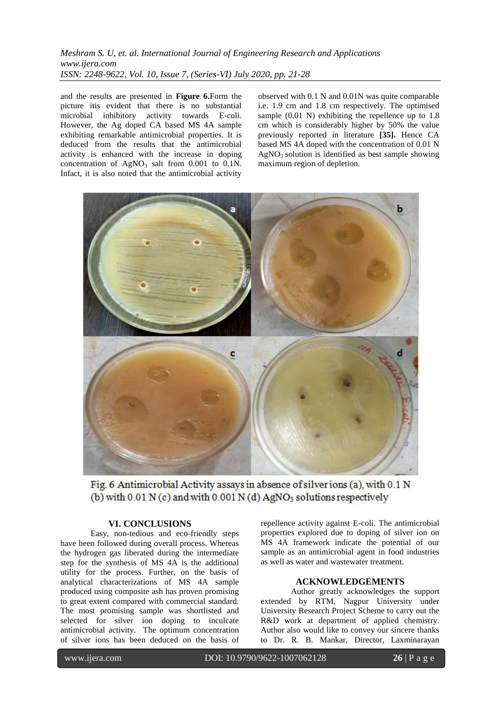# *Meshram S. U, et. al. International Journal of Engineering Research and Applications www.ijera.com ISSN: 2248-9622, Vol. 10, Issue 7, (Series-VI) July 2020, pp. 21-28*

and the results are presented in **Figure 6.**Form the picture itis evident that there is no substantial microbial inhibitory activity towards E-coli. However, the Ag doped CA based MS 4A sample exhibiting remarkable antimicrobial properties. It is deduced from the results that the antimicrobial activity is enhanced with the increase in doping concentration of  $AgNO_3$  salt from 0.001 to 0.1N. Infact, it is also noted that the antimicrobial activity

observed with 0.1 N and 0.01N was quite comparable i.e. 1.9 cm and 1.8 cm respectively. The optimised sample (0.01 N) exhibiting the repellence up to 1.8 cm which is considerably higher by 50% the value previously reported in literature **[35].** Hence CA based MS 4A doped with the concentration of 0.01 N  $AgNO<sub>3</sub>$  solution is identified as best sample showing maximum region of depletion.



Fig. 6 Antimicrobial Activity assays in absence of silver ions (a), with 0.1 N (b) with  $0.01$  N (c) and with  $0.001$  N (d) AgNO<sub>3</sub> solutions respectively

# **VI. CONCLUSIONS**

Easy, non-tedious and eco-friendly steps have been followed during overall process. Whereas the hydrogen gas liberated during the intermediate step for the synthesis of MS 4A is the additional utility for the process. Further, on the basis of analytical characterizations of MS 4A sample produced using composite ash has proven promising to great extent compared with commercial standard. The most promising sample was shortlisted and selected for silver ion doping to inculcate antimicrobial activity. The optimum concentration of silver ions has been deduced on the basis of

repellence activity against E-coli. The antimicrobial properties explored due to doping of silver ion on MS 4A framework indicate the potential of our sample as an antimicrobial agent in food industries as well as water and wastewater treatment.

#### **ACKNOWLEDGEMENTS**

Author greatly acknowledges the support extended by RTM, Nagpur University under University Research Project Scheme to carry out the R&D work at department of applied chemistry. Author also would like to convey our sincere thanks to Dr. R. B. Mankar, Director, Laxminarayan

www.ijera.com DOI: 10.9790/9622-1007062128 **26** | P a g e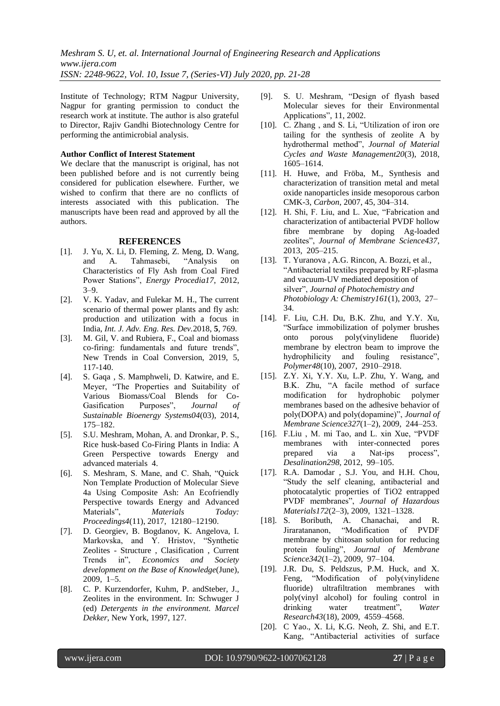*Meshram S. U, et. al. International Journal of Engineering Research and Applications www.ijera.com ISSN: 2248-9622, Vol. 10, Issue 7, (Series-VI) July 2020, pp. 21-28*

Institute of Technology; RTM Nagpur University, Nagpur for granting permission to conduct the research work at institute. The author is also grateful to Director, Rajiv Gandhi Biotechnology Centre for performing the antimicrobial analysis.

#### **Author Conflict of Interest Statement**

We declare that the manuscript is original, has not been published before and is not currently being considered for publication elsewhere. Further, we wished to confirm that there are no conflicts of interests associated with this publication. The manuscripts have been read and approved by all the authors.

#### **REFERENCES**

- [1]. J. Yu, X. Li, D. Fleming, Z. Meng, D. Wang, and A. Tahmasebi, "Analysis on Characteristics of Fly Ash from Coal Fired Power Stations", *Energy Procedia17*, 2012, 3–9.
- [2]. V. K. Yadav, and Fulekar M. H., The current scenario of thermal power plants and fly ash: production and utilization with a focus in India, *Int. J. Adv. Eng. Res. Dev.*2018, **5**, 769.
- [3]. M. Gil, V. and Rubiera, F., Coal and biomass co-firing: fundamentals and future trends", New Trends in Coal Conversion, 2019, 5, 117-140.
- [4]. S. Gaqa , S. Mamphweli, D. Katwire, and E. Meyer, "The Properties and Suitability of Various Biomass/Coal Blends for Co-Gasification Purposes", *Journal of Sustainable Bioenergy Systems04*(03), 2014, 175–182.
- [5]. S.U. Meshram, Mohan, A. and Dronkar, P. S., Rice husk-based Co-Firing Plants in India: A Green Perspective towards Energy and advanced materials 4.
- [6]. S. Meshram, S. Mane, and C. Shah, "Quick Non Template Production of Molecular Sieve 4a Using Composite Ash: An Ecofriendly Perspective towards Energy and Advanced Materials", *Materials Today: Proceedings4*(11), 2017, 12180–12190.
- [7]. D. Georgiev, B. Bogdanov, K. Angelova, I. Markovska, and Y. Hristov, "Synthetic Zeolites - Structure , Clasification , Current Trends in", *Economics and Society development on the Base of Knowledge*(June), 2009, 1–5.
- [8]. C. P. Kurzendorfer, Kuhm, P. andSteber, J., Zeolites in the environment. In: Schwuger J (ed) *Detergents in the environment. Marcel Dekker*, New York, 1997, 127.
- [9]. S. U. Meshram, "Design of flyash based Molecular sieves for their Environmental Applications", 11, 2002.
- [10]. C. Zhang, and S. Li, "Utilization of iron ore tailing for the synthesis of zeolite A by hydrothermal method", *Journal of Material Cycles and Waste Management20*(3), 2018, 1605–1614.
- [11]. H. Huwe, and Fröba, M., Synthesis and characterization of transition metal and metal oxide nanoparticles inside mesoporous carbon CMK-3, *Carbon*, 2007, 45, 304–314.
- [12]. H. Shi, F. Liu, and L. Xue, "Fabrication and characterization of antibacterial PVDF hollow fibre membrane by doping Ag-loaded zeolites", *Journal of Membrane Science437*, 2013, 205–215.
- [13]. T. Yuranova , A.G. Rincon, A. Bozzi, et al., "Antibacterial textiles prepared by RF-plasma and vacuum-UV mediated deposition of silver", *Journal of Photochemistry and Photobiology A: Chemistry161*(1), 2003, 27– 34.
- [14]. F. Liu, C.H. Du, B.K. Zhu, and Y.Y. Xu, "Surface immobilization of polymer brushes onto porous poly(vinylidene fluoride) membrane by electron beam to improve the hydrophilicity and fouling resistance", *Polymer48*(10), 2007, 2910–2918.
- [15]. Z.Y. Xi, Y.Y. Xu, L.P. Zhu, Y. Wang, and B.K. Zhu, "A facile method of surface modification for hydrophobic polymer membranes based on the adhesive behavior of poly(DOPA) and poly(dopamine)", *Journal of Membrane Science327*(1–2), 2009, 244–253.
- [16]. F.Liu , M. mi Tao, and L. xin Xue, "PVDF membranes with inter-connected pores prepared via a Nat-ips process", *Desalination298*, 2012, 99–105.
- [17]. R.A. Damodar , S.J. You, and H.H. Chou, "Study the self cleaning, antibacterial and photocatalytic properties of TiO2 entrapped PVDF membranes", *Journal of Hazardous Materials172*(2–3), 2009, 1321–1328.
- [18]. S. Boributh, A. Chanachai, and R. Jiraratananon, "Modification of PVDF membrane by chitosan solution for reducing protein fouling", *Journal of Membrane Science342*(1–2), 2009, 97–104.
- [19]. J.R. Du, S. Peldszus, P.M. Huck, and X. Feng, "Modification of poly(vinylidene fluoride) ultrafiltration membranes with poly(vinyl alcohol) for fouling control in drinking water treatment", *Water Research43*(18), 2009, 4559–4568.
- [20]. C Yao., X. Li, K.G. Neoh, Z. Shi, and E.T. Kang, "Antibacterial activities of surface